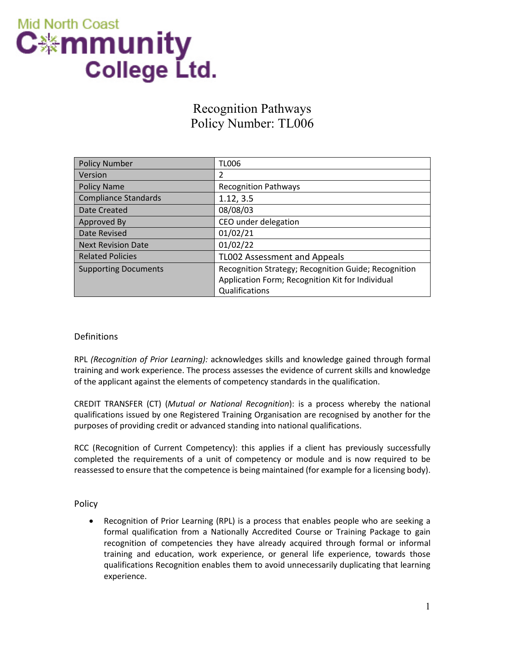# **Mid North Coast** C∰mmunity **College Ltd.**

# Recognition Pathways Policy Number: TL006

| <b>Policy Number</b>        | <b>TL006</b>                                         |
|-----------------------------|------------------------------------------------------|
| Version                     | 2                                                    |
| <b>Policy Name</b>          | <b>Recognition Pathways</b>                          |
| Compliance Standards        | 1.12, 3.5                                            |
| Date Created                | 08/08/03                                             |
| Approved By                 | CEO under delegation                                 |
| Date Revised                | 01/02/21                                             |
| <b>Next Revision Date</b>   | 01/02/22                                             |
| <b>Related Policies</b>     | TL002 Assessment and Appeals                         |
| <b>Supporting Documents</b> | Recognition Strategy; Recognition Guide; Recognition |
|                             | Application Form; Recognition Kit for Individual     |
|                             | Qualifications                                       |

## Definitions

RPL *(Recognition of Prior Learning):* acknowledges skills and knowledge gained through formal training and work experience. The process assesses the evidence of current skills and knowledge of the applicant against the elements of competency standards in the qualification.

CREDIT TRANSFER (CT) (*Mutual or National Recognition*): is a process whereby the national qualifications issued by one Registered Training Organisation are recognised by another for the purposes of providing credit or advanced standing into national qualifications.

RCC (Recognition of Current Competency): this applies if a client has previously successfully completed the requirements of a unit of competency or module and is now required to be reassessed to ensure that the competence is being maintained (for example for a licensing body).

Policy

• Recognition of Prior Learning (RPL) is a process that enables people who are seeking a formal qualification from a Nationally Accredited Course or Training Package to gain recognition of competencies they have already acquired through formal or informal training and education, work experience, or general life experience, towards those qualifications Recognition enables them to avoid unnecessarily duplicating that learning experience.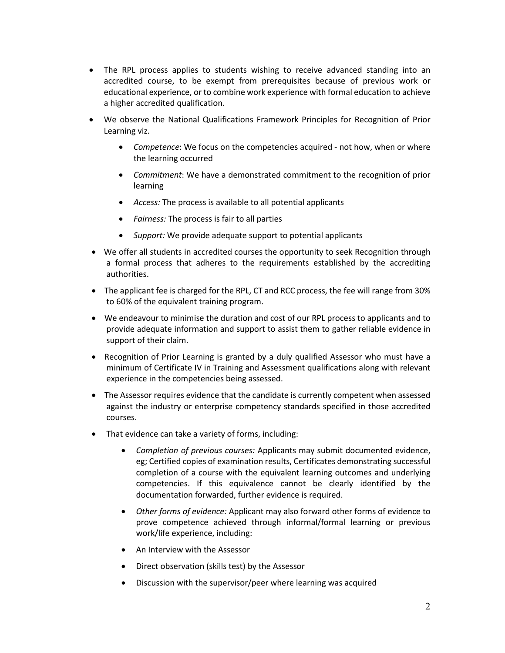- The RPL process applies to students wishing to receive advanced standing into an accredited course, to be exempt from prerequisites because of previous work or educational experience, or to combine work experience with formal education to achieve a higher accredited qualification.
- We observe the National Qualifications Framework Principles for Recognition of Prior Learning viz.
	- *Competence*: We focus on the competencies acquired not how, when or where the learning occurred
	- *Commitment*: We have a demonstrated commitment to the recognition of prior learning
	- *Access:* The process is available to all potential applicants
	- *Fairness:* The process is fair to all parties
	- *Support:* We provide adequate support to potential applicants
- We offer all students in accredited courses the opportunity to seek Recognition through a formal process that adheres to the requirements established by the accrediting authorities.
- The applicant fee is charged for the RPL, CT and RCC process, the fee will range from 30% to 60% of the equivalent training program.
- We endeavour to minimise the duration and cost of our RPL process to applicants and to provide adequate information and support to assist them to gather reliable evidence in support of their claim.
- Recognition of Prior Learning is granted by a duly qualified Assessor who must have a minimum of Certificate IV in Training and Assessment qualifications along with relevant experience in the competencies being assessed.
- The Assessor requires evidence that the candidate is currently competent when assessed against the industry or enterprise competency standards specified in those accredited courses.
- That evidence can take a variety of forms, including:
	- *Completion of previous courses:* Applicants may submit documented evidence, eg; Certified copies of examination results, Certificates demonstrating successful completion of a course with the equivalent learning outcomes and underlying competencies. If this equivalence cannot be clearly identified by the documentation forwarded, further evidence is required.
	- *Other forms of evidence:* Applicant may also forward other forms of evidence to prove competence achieved through informal/formal learning or previous work/life experience, including:
	- An Interview with the Assessor
	- Direct observation (skills test) by the Assessor
	- Discussion with the supervisor/peer where learning was acquired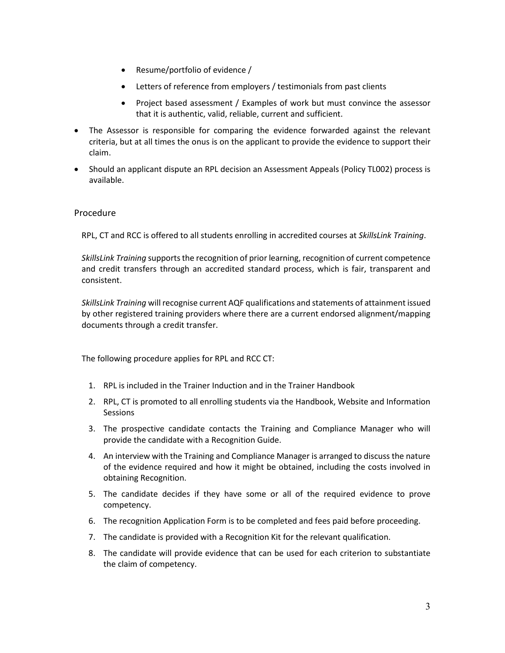- Resume/portfolio of evidence /
- Letters of reference from employers / testimonials from past clients
- Project based assessment / Examples of work but must convince the assessor that it is authentic, valid, reliable, current and sufficient.
- The Assessor is responsible for comparing the evidence forwarded against the relevant criteria, but at all times the onus is on the applicant to provide the evidence to support their claim.
- Should an applicant dispute an RPL decision an Assessment Appeals (Policy TL002) process is available.

### Procedure

RPL, CT and RCC is offered to all students enrolling in accredited courses at *SkillsLink Training*.

*SkillsLink Training* supports the recognition of prior learning, recognition of current competence and credit transfers through an accredited standard process, which is fair, transparent and consistent.

*SkillsLink Training* will recognise current AQF qualifications and statements of attainment issued by other registered training providers where there are a current endorsed alignment/mapping documents through a credit transfer.

The following procedure applies for RPL and RCC CT:

- 1. RPL is included in the Trainer Induction and in the Trainer Handbook
- 2. RPL, CT is promoted to all enrolling students via the Handbook, Website and Information Sessions
- 3. The prospective candidate contacts the Training and Compliance Manager who will provide the candidate with a Recognition Guide.
- 4. An interview with the Training and Compliance Manager is arranged to discuss the nature of the evidence required and how it might be obtained, including the costs involved in obtaining Recognition.
- 5. The candidate decides if they have some or all of the required evidence to prove competency.
- 6. The recognition Application Form is to be completed and fees paid before proceeding.
- 7. The candidate is provided with a Recognition Kit for the relevant qualification.
- 8. The candidate will provide evidence that can be used for each criterion to substantiate the claim of competency.